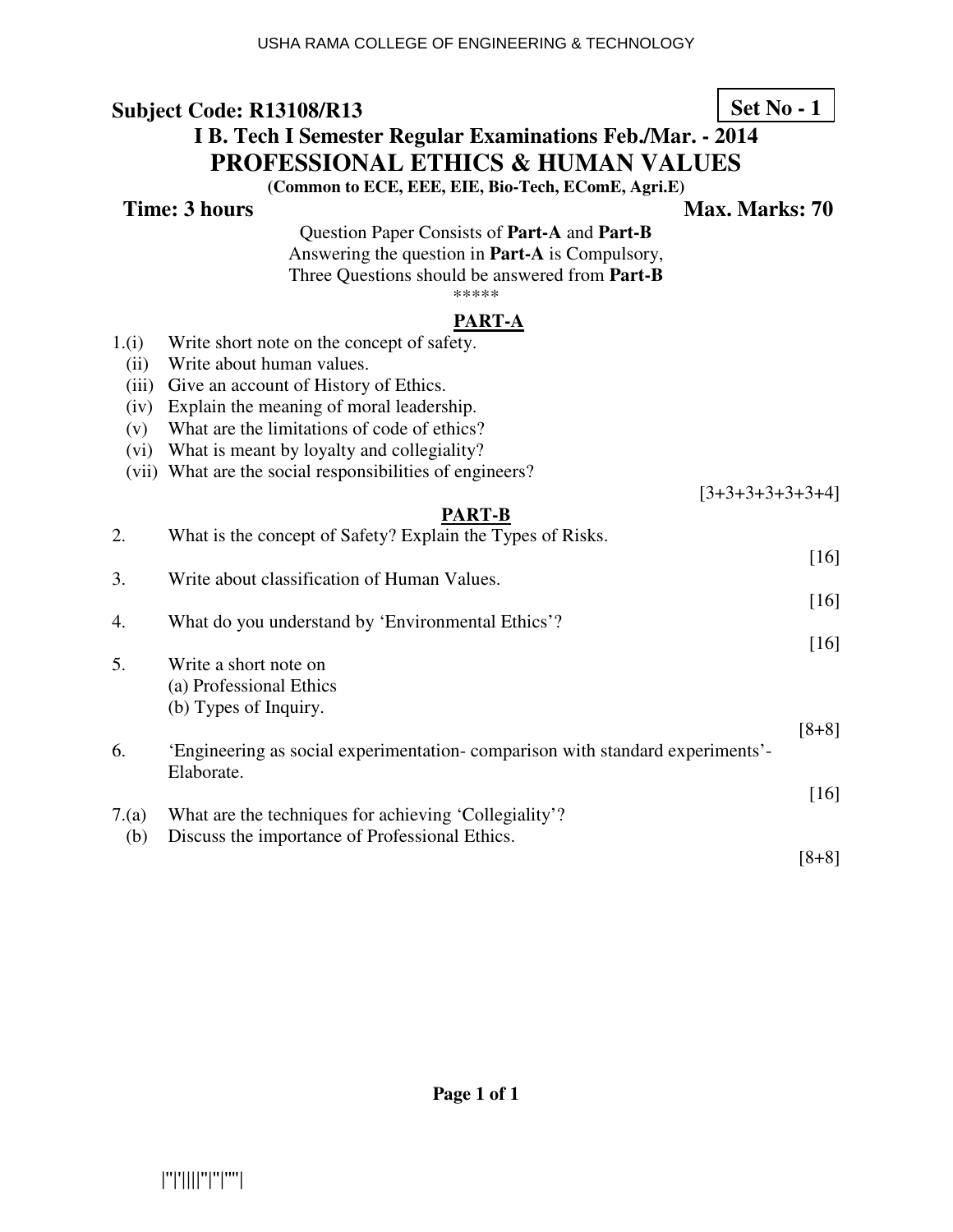#### **Subject Code: R13108/R13 I B. Tech I Semester Regular Examinations Feb./Mar. - 2014 PROFESSIONAL ETHICS & HUMAN VALUES (Common to ECE, EEE, EIE, Bio-Tech, EComE, Agri.E) Time: 3 hours** Max. Marks: 70 Question Paper Consists of **Part-A** and **Part-B** Answering the question in **Part-A** is Compulsory, Three Questions should be answered from **Part-B** \*\*\*\*\* **PART-A** 1.(i) Write short note on the concept of safety. (ii) Write about human values. (iii) Give an account of History of Ethics. (iv) Explain the meaning of moral leadership. (v) What are the limitations of code of ethics? (vi) What is meant by loyalty and collegiality? (vii) What are the social responsibilities of engineers?  $[3+3+3+3+3+3+4]$ **PART-B** 2. What is the concept of Safety? Explain the Types of Risks. [16] 3. Write about classification of Human Values. [16] 4. What do you understand by 'Environmental Ethics'? [16] 5. Write a short note on **Set No - 1**

| 6.                   | a) i ioicssional Luncs<br>(b) Types of Inquiry.                                            |         |
|----------------------|--------------------------------------------------------------------------------------------|---------|
|                      | Engineering as social experimentation-comparison with standard experiments'-<br>Elaborate. | $[8+8]$ |
| $\sim$ $\sim$ $\sim$ | $\sim$ 1, $\sim$ $\sim$ 11, 11, 10<br>$\mathbf{v}$                                         | [16]    |

7.(a) What are the techniques for achieving 'Collegiality'? (b) Discuss the importance of Professional Ethics. [8+8]

(a) Professional Ethics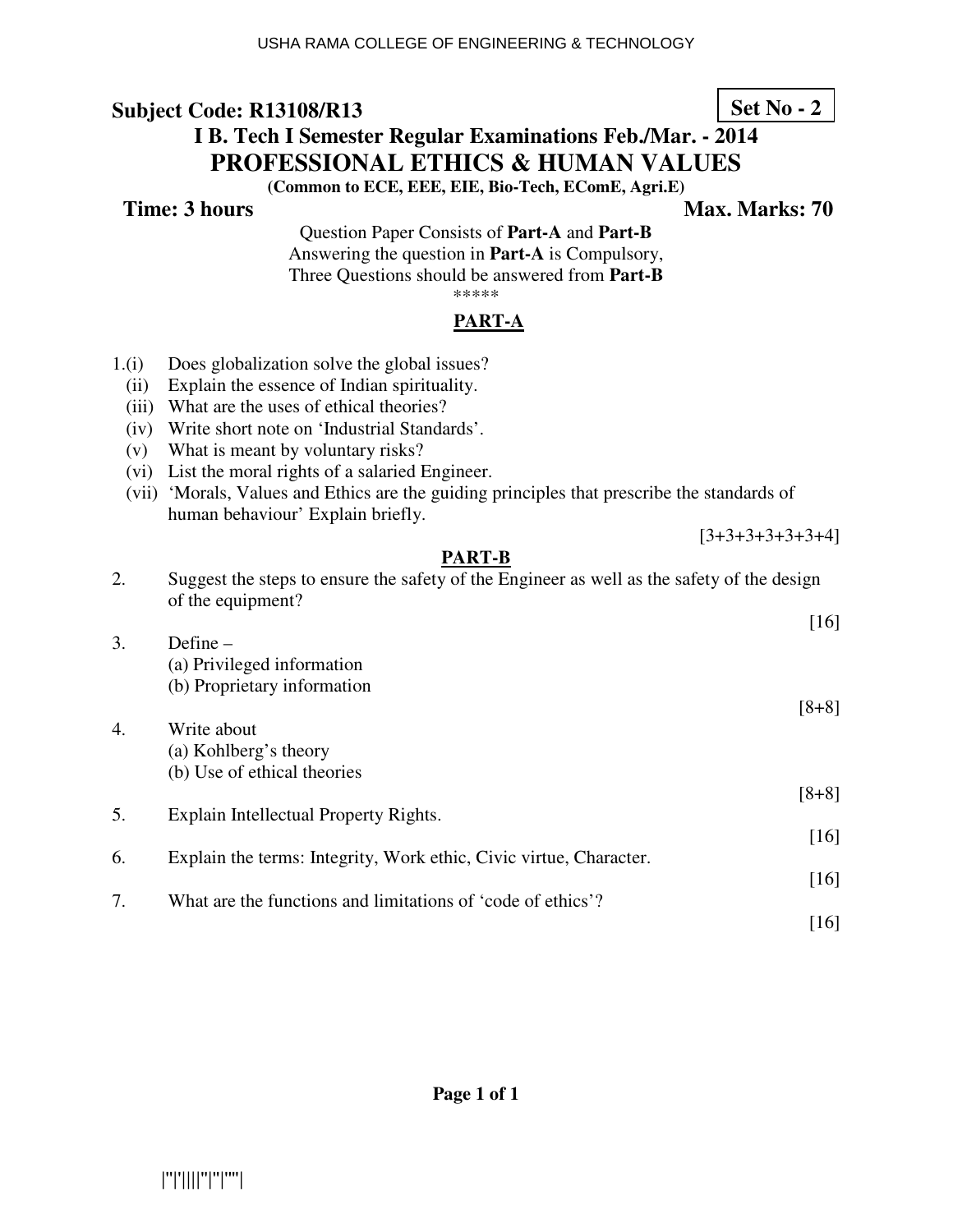## **Subject Code: R13108/R13**

# **I B. Tech I Semester Regular Examinations Feb./Mar. - 2014 PROFESSIONAL ETHICS & HUMAN VALUES**

**(Common to ECE, EEE, EIE, Bio-Tech, EComE, Agri.E)** 

**Time: 3 hours Max. Marks: 70**  Max. Marks: 70

**Set No - 2**

[3+3+3+3+3+3+4]

Question Paper Consists of **Part-A** and **Part-B** Answering the question in **Part-A** is Compulsory, Three Questions should be answered from **Part-B** \*\*\*\*\*

### **PART-A**

- 1.(i) Does globalization solve the global issues?
	- (ii) Explain the essence of Indian spirituality.
	- (iii) What are the uses of ethical theories?
	- (iv) Write short note on 'Industrial Standards'.
	- (v) What is meant by voluntary risks?
	- (vi) List the moral rights of a salaried Engineer.
	- (vii) 'Morals, Values and Ethics are the guiding principles that prescribe the standards of human behaviour' Explain briefly.

#### **PART-B**

- 2. Suggest the steps to ensure the safety of the Engineer as well as the safety of the design of the equipment? [16]
- 3. Define (a) Privileged information (b) Proprietary information [8+8] 4. Write about (a) Kohlberg's theory
	- (b) Use of ethical theories
- [8+8] 5. Explain Intellectual Property Rights.
- [16] 6. Explain the terms: Integrity, Work ethic, Civic virtue, Character. [16]
- 7. What are the functions and limitations of 'code of ethics'? [16]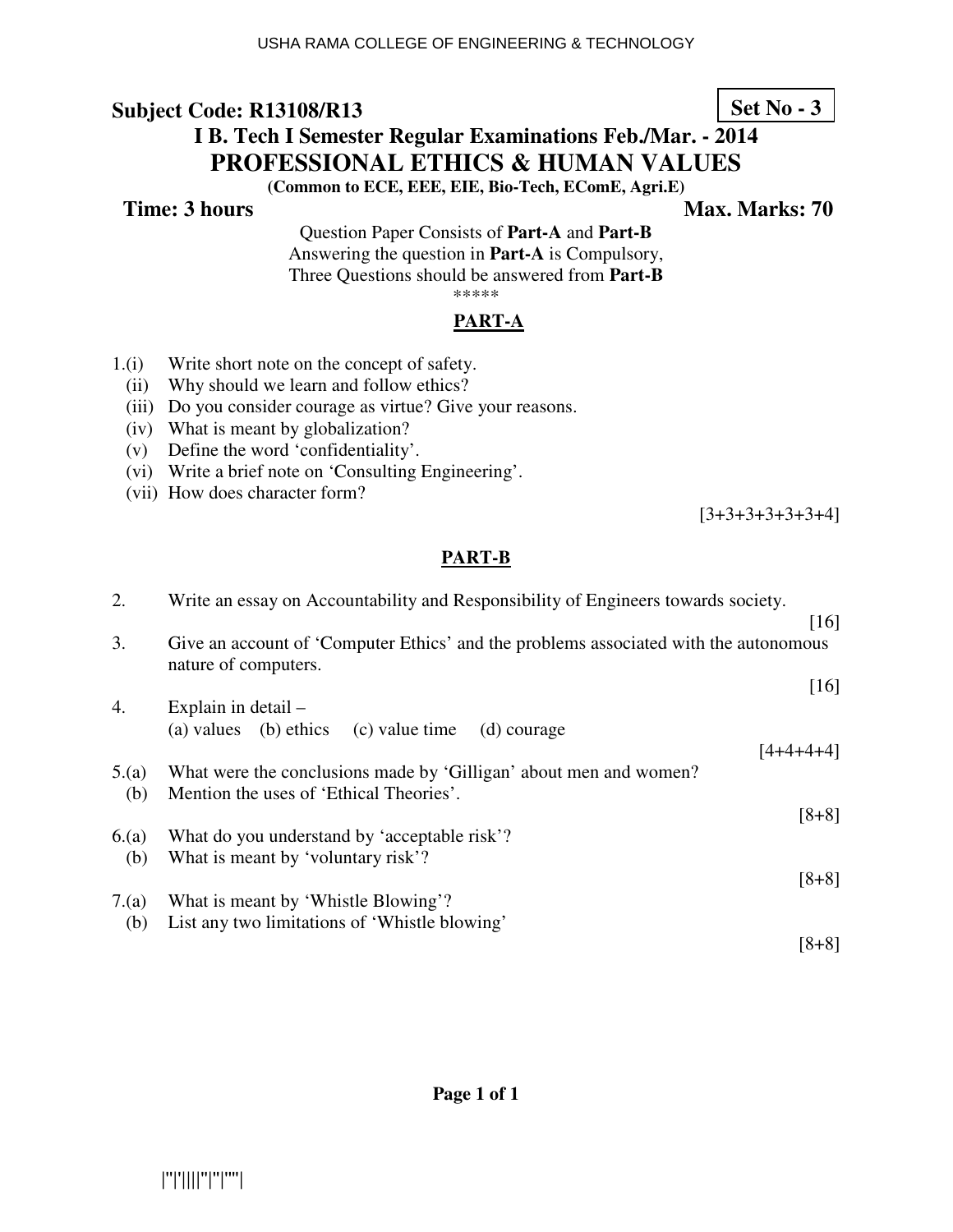## **Subject Code: R13108/R13**

# **I B. Tech I Semester Regular Examinations Feb./Mar. - 2014 PROFESSIONAL ETHICS & HUMAN VALUES**

**(Common to ECE, EEE, EIE, Bio-Tech, EComE, Agri.E)** 

**Time: 3 hours** Max. Marks: 70

Question Paper Consists of **Part-A** and **Part-B** Answering the question in **Part-A** is Compulsory, Three Questions should be answered from **Part-B** \*\*\*\*\*

#### **PART-A**

- 1.(i) Write short note on the concept of safety.
- (ii) Why should we learn and follow ethics?
- (iii) Do you consider courage as virtue? Give your reasons.
- (iv) What is meant by globalization?
- (v) Define the word 'confidentiality'.
- (vi) Write a brief note on 'Consulting Engineering'.
- (vii) How does character form?

[3+3+3+3+3+3+4]

### **PART-B**

| 2.   | Write an essay on Accountability and Responsibility of Engineers towards society.                            |                    |  |
|------|--------------------------------------------------------------------------------------------------------------|--------------------|--|
| 3.   | Give an account of 'Computer Ethics' and the problems associated with the autonomous<br>nature of computers. | $\lceil 16 \rceil$ |  |
|      |                                                                                                              | $[16]$             |  |
| 4.   | Explain in detail $-$                                                                                        |                    |  |
|      | (a) values (b) ethics<br>(c) value time<br>(d) courage                                                       | $[4+4+4+4]$        |  |
| 5(a) | What were the conclusions made by 'Gilligan' about men and women?                                            |                    |  |
| (b)  | Mention the uses of 'Ethical Theories'.                                                                      |                    |  |
|      |                                                                                                              | $[8+8]$            |  |
| 6(a) | What do you understand by 'acceptable risk'?                                                                 |                    |  |
| (b)  | What is meant by 'voluntary risk'?                                                                           |                    |  |
|      |                                                                                                              | $[8+8]$            |  |
| 7(a) | What is meant by 'Whistle Blowing'?                                                                          |                    |  |
| (b)  | List any two limitations of 'Whistle blowing'                                                                |                    |  |
|      |                                                                                                              | $[8+8]$            |  |

**Set No - 3**